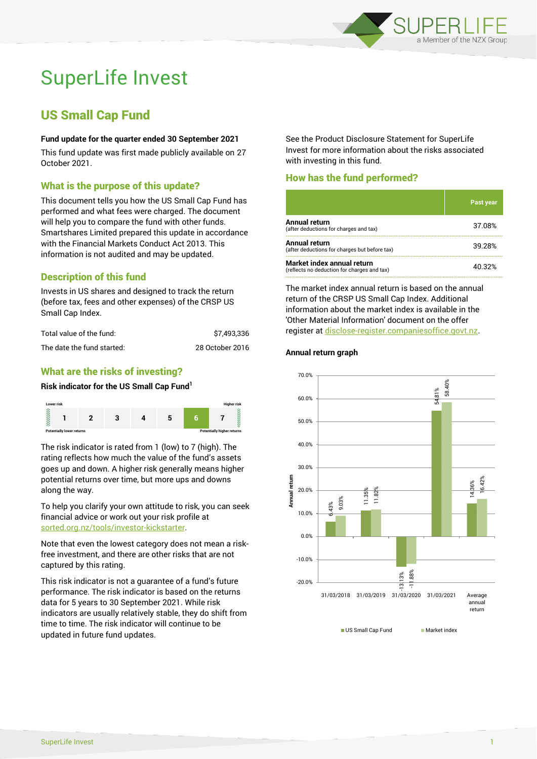

# SuperLife Invest

# US Small Cap Fund

#### **Fund update for the quarter ended 30 September 2021**

This fund update was first made publicly available on 27 October 2021.

# What is the purpose of this update?

This document tells you how the US Small Cap Fund has performed and what fees were charged. The document will help you to compare the fund with other funds. Smartshares Limited prepared this update in accordance with the Financial Markets Conduct Act 2013. This information is not audited and may be updated.

# Description of this fund

Invests in US shares and designed to track the return (before tax, fees and other expenses) of the CRSP US Small Cap Index.

| Total value of the fund:   | \$7.493.336     |
|----------------------------|-----------------|
| The date the fund started: | 28 October 2016 |

# What are the risks of investing?

#### **Risk indicator for the US Small Cap Fund<sup>1</sup>**



The risk indicator is rated from 1 (low) to 7 (high). The rating reflects how much the value of the fund's assets goes up and down. A higher risk generally means higher potential returns over time, but more ups and downs along the way.

To help you clarify your own attitude to risk, you can seek financial advice or work out your risk profile at [sorted.org.nz/tools/investor-kickstarter.](http://www.sorted.org.nz/tools/investor-kickstarter)

Note that even the lowest category does not mean a riskfree investment, and there are other risks that are not captured by this rating.

This risk indicator is not a guarantee of a fund's future performance. The risk indicator is based on the returns data for 5 years to 30 September 2021. While risk indicators are usually relatively stable, they do shift from time to time. The risk indicator will continue to be updated in future fund updates.

See the Product Disclosure Statement for SuperLife Invest for more information about the risks associated with investing in this fund.

# How has the fund performed?

|                                                                           | 'Past year |
|---------------------------------------------------------------------------|------------|
| <b>Annual return</b><br>(after deductions for charges and tax)            | 37.08%     |
| <b>Annual return</b><br>(after deductions for charges but before tax)     | 39.28%     |
| Market index annual return<br>(reflects no deduction for charges and tax) | 40.32%     |

The market index annual return is based on the annual return of the CRSP US Small Cap Index. Additional information about the market index is available in the 'Other Material Information' document on the offer register a[t disclose-register.companiesoffice.govt.nz.](http://www.disclose-register.companiesoffice.govt.nz/)

#### **Annual return graph**



US Small Cap Fund Market index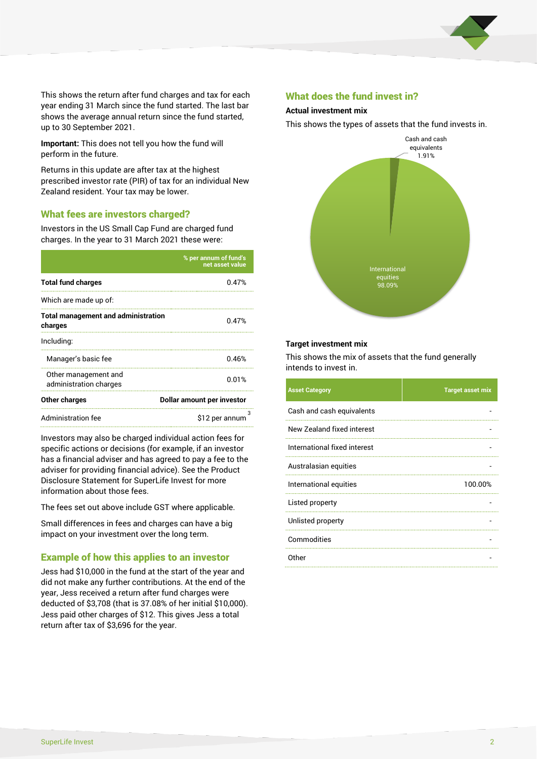

This shows the return after fund charges and tax for each year ending 31 March since the fund started. The last bar shows the average annual return since the fund started, up to 30 September 2021.

**Important:** This does not tell you how the fund will perform in the future.

Returns in this update are after tax at the highest prescribed investor rate (PIR) of tax for an individual New Zealand resident. Your tax may be lower.

# What fees are investors charged?

Investors in the US Small Cap Fund are charged fund charges. In the year to 31 March 2021 these were:

|                                                       | % per annum of fund's<br>net asset value |  |
|-------------------------------------------------------|------------------------------------------|--|
| <b>Total fund charges</b>                             | 0.47%                                    |  |
| Which are made up of:                                 |                                          |  |
| <b>Total management and administration</b><br>charges | 0.47%                                    |  |
| Including:                                            |                                          |  |
| Manager's basic fee                                   | 0.46%                                    |  |
| Other management and<br>administration charges        | 0.01%                                    |  |
| Other charges                                         | Dollar amount per investor               |  |
| <b>Administration fee</b>                             | з<br>\$12 per annum                      |  |

Investors may also be charged individual action fees for specific actions or decisions (for example, if an investor has a financial adviser and has agreed to pay a fee to the adviser for providing financial advice). See the Product Disclosure Statement for SuperLife Invest for more information about those fees.

The fees set out above include GST where applicable.

Small differences in fees and charges can have a big impact on your investment over the long term.

# Example of how this applies to an investor

Jess had \$10,000 in the fund at the start of the year and did not make any further contributions. At the end of the year, Jess received a return after fund charges were deducted of \$3,708 (that is 37.08% of her initial \$10,000). Jess paid other charges of \$12. This gives Jess a total return after tax of \$3,696 for the year.

#### What does the fund invest in?

#### **Actual investment mix**

This shows the types of assets that the fund invests in.



#### **Target investment mix**

This shows the mix of assets that the fund generally intends to invest in.

| <b>Asset Category</b>        | <b>Target asset mix</b> |
|------------------------------|-------------------------|
| Cash and cash equivalents    |                         |
| New Zealand fixed interest   |                         |
| International fixed interest |                         |
| Australasian equities        |                         |
| International equities       | 100.00%                 |
| Listed property              |                         |
| Unlisted property            |                         |
| Commodities                  |                         |
| Other                        |                         |